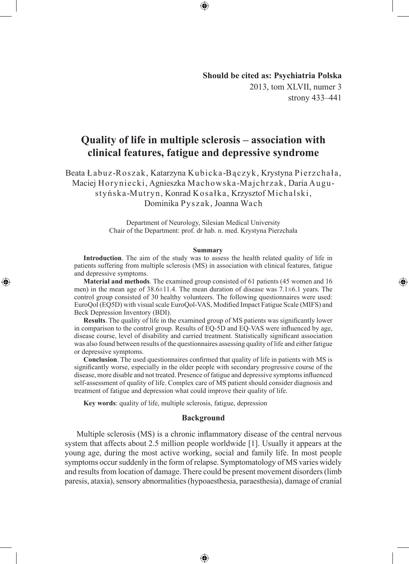## **Should be cited as: Psychiatria Polska** 2013, tom XLVII, numer 3 strony 433–441

◈

# **Quality of life in multiple sclerosis – association with clinical features, fatigue and depressive syndrome**

Beata Łabuz-Roszak, Katarzyna Kubicka-Bączyk, Krystyna Pierzchała, Maciej Horyniecki, Agnieszka Machowska-Majchrzak, Daria Augustyńska-Mutryn, Konrad Kosałka, Krzysztof Michalski, Dominika Pyszak, Joanna Wach

> Department of Neurology, Silesian Medical University Chair of the Department: prof. dr hab. n. med. Krystyna Pierzchała

#### **Summary**

**Introduction**. The aim of the study was to assess the health related quality of life in patients suffering from multiple sclerosis (MS) in association with clinical features, fatigue and depressive symptoms.

**Material and methods**. The examined group consisted of 61 patients (45 women and 16 men) in the mean age of  $38.6\pm11.4$ . The mean duration of disease was  $7.1\pm6.1$  years. The control group consisted of 30 healthy volunteers. The following questionnaires were used: EuroQol (EQ5D) with visual scale EuroQol-VAS, Modified Impact Fatigue Scale (MIFS) and Beck Depression Inventory (BDI).

**Results**. The quality of life in the examined group of MS patients was significantly lower in comparison to the control group. Results of EQ-5D and EQ-VAS were influenced by age, disease course, level of disability and carried treatment. Statistically significant association was also found between results of the questionnaires assessing quality of life and either fatigue or depressive symptoms.

**Conclusion**. The used questionnaires confirmed that quality of life in patients with MS is significantly worse, especially in the older people with secondary progressive course of the disease, more disable and not treated. Presence of fatigue and depressive symptoms influenced self-assessment of quality of life. Complex care of MS patient should consider diagnosis and treatment of fatigue and depression what could improve their quality of life.

**Key words**: quality of life, multiple sclerosis, fatigue, depression

◈

#### **Background**

Multiple sclerosis (MS) is a chronic inflammatory disease of the central nervous system that affects about 2.5 million people worldwide [1]. Usually it appears at the young age, during the most active working, social and family life. In most people symptoms occur suddenly in the form of relapse. Symptomatology of MS varies widely and results from location of damage. There could be present movement disorders (limb paresis, ataxia), sensory abnormalities (hypoaesthesia, paraesthesia), damage of cranial

⊕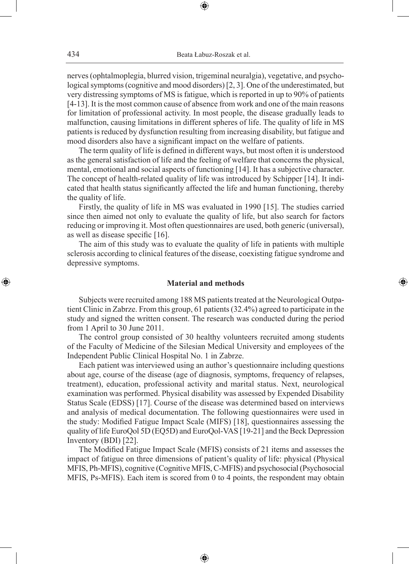⊕

nerves (ophtalmoplegia, blurred vision, trigeminal neuralgia), vegetative, and psychological symptoms (cognitive and mood disorders) [2, 3]. One of the underestimated, but very distressing symptoms of MS is fatigue, which is reported in up to 90% of patients [4-13]. It is the most common cause of absence from work and one of the main reasons for limitation of professional activity. In most people, the disease gradually leads to malfunction, causing limitations in different spheres of life. The quality of life in MS patients is reduced by dysfunction resulting from increasing disability, but fatigue and mood disorders also have a significant impact on the welfare of patients.

The term quality of life is defined in different ways, but most often it is understood as the general satisfaction of life and the feeling of welfare that concerns the physical, mental, emotional and social aspects of functioning [14]. It has a subjective character. The concept of health-related quality of life was introduced by Schipper [14]. It indicated that health status significantly affected the life and human functioning, thereby the quality of life.

Firstly, the quality of life in MS was evaluated in 1990 [15]. The studies carried since then aimed not only to evaluate the quality of life, but also search for factors reducing or improving it. Most often questionnaires are used, both generic (universal), as well as disease specific [16].

The aim of this study was to evaluate the quality of life in patients with multiple sclerosis according to clinical features of the disease, coexisting fatigue syndrome and depressive symptoms.

## **Material and methods**

◈

Subjects were recruited among 188 MS patients treated at the Neurological Outpatient Clinic in Zabrze. From this group, 61 patients (32.4%) agreed to participate in the study and signed the written consent. The research was conducted during the period from 1 April to 30 June 2011.

The control group consisted of 30 healthy volunteers recruited among students of the Faculty of Medicine of the Silesian Medical University and employees of the Independent Public Clinical Hospital No. 1 in Zabrze.

Each patient was interviewed using an author's questionnaire including questions about age, course of the disease (age of diagnosis, symptoms, frequency of relapses, treatment), education, professional activity and marital status. Next, neurological examination was performed. Physical disability was assessed by Expended Disability Status Scale (EDSS) [17]. Course of the disease was determined based on interviews and analysis of medical documentation. The following questionnaires were used in the study: Modified Fatigue Impact Scale (MIFS) [18], questionnaires assessing the quality of life EuroQol 5D (EQ5D) and EuroQol-VAS [19-21] and the Beck Depression Inventory (BDI) [22].

The Modified Fatigue Impact Scale (MFIS) consists of 21 items and assesses the impact of fatigue on three dimensions of patient's quality of life: physical (Physical MFIS, Ph-MFIS), cognitive (Cognitive MFIS, C-MFIS) and psychosocial (Psychosocial MFIS, Ps-MFIS). Each item is scored from 0 to 4 points, the respondent may obtain

⊕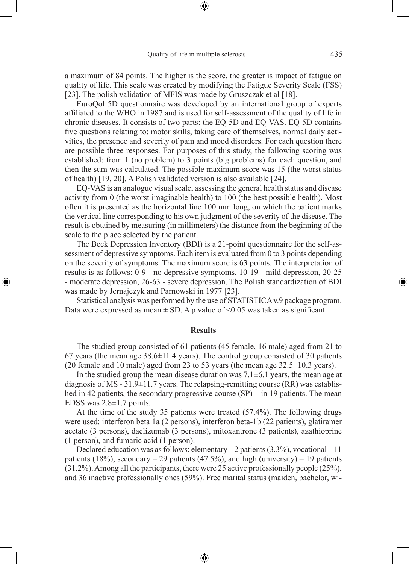a maximum of 84 points. The higher is the score, the greater is impact of fatigue on quality of life. This scale was created by modifying the Fatigue Severity Scale (FSS) [23]. The polish validation of MFIS was made by Gruszczak et al [18].

⊕

EuroQol 5D questionnaire was developed by an international group of experts affiliated to the WHO in 1987 and is used for self-assessment of the quality of life in chronic diseases. It consists of two parts: the EQ-5D and EQ-VAS. EQ-5D contains five questions relating to: motor skills, taking care of themselves, normal daily activities, the presence and severity of pain and mood disorders. For each question there are possible three responses. For purposes of this study, the following scoring was established: from 1 (no problem) to 3 points (big problems) for each question, and then the sum was calculated. The possible maximum score was 15 (the worst status of health) [19, 20]. A Polish validated version is also available [24].

EQ-VAS is an analogue visual scale, assessing the general health status and disease activity from 0 (the worst imaginable health) to 100 (the best possible health). Most often it is presented as the horizontal line 100 mm long, on which the patient marks the vertical line corresponding to his own judgment of the severity of the disease. The result is obtained by measuring (in millimeters) the distance from the beginning of the scale to the place selected by the patient.

The Beck Depression Inventory (BDI) is a 21-point questionnaire for the self-assessment of depressive symptoms. Each item is evaluated from 0 to 3 points depending on the severity of symptoms. The maximum score is 63 points. The interpretation of results is as follows: 0-9 - no depressive symptoms, 10-19 - mild depression, 20-25 - moderate depression, 26-63 - severe depression. The Polish standardization of BDI was made by Jernajczyk and Parnowski in 1977 [23].

◈

Statistical analysis was performed by the use of STATISTICA v.9 package program. Data were expressed as mean  $\pm$  SD. A p value of <0.05 was taken as significant.

### **Results**

The studied group consisted of 61 patients (45 female, 16 male) aged from 21 to 67 years (the mean age 38.6±11.4 years). The control group consisted of 30 patients (20 female and 10 male) aged from 23 to 53 years (the mean age  $32.5\pm10.3$  years).

In the studied group the mean disease duration was  $7.1\pm6.1$  years, the mean age at diagnosis of MS -  $31.9\pm11.7$  years. The relapsing-remitting course (RR) was established in 42 patients, the secondary progressive course (SP) – in 19 patients. The mean EDSS was 2.8±1.7 points.

At the time of the study 35 patients were treated (57.4%). The following drugs were used: interferon beta 1a (2 persons), interferon beta-1b (22 patients), glatiramer acetate (3 persons), daclizumab (3 persons), mitoxantrone (3 patients), azathioprine (1 person), and fumaric acid (1 person).

Declared education was as follows: elementary  $-2$  patients (3.3%), vocational  $-11$ patients (18%), secondary  $-$  29 patients (47.5%), and high (university)  $-$  19 patients (31.2%). Among all the participants, there were 25 active professionally people (25%), and 36 inactive professionally ones (59%). Free marital status (maiden, bachelor, wi-

⊕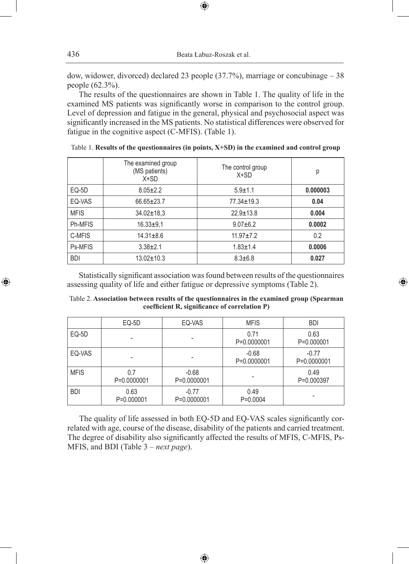dow, widower, divorced) declared 23 people (37.7%), marriage or concubinage – 38 people (62.3%).

 $\bigoplus$ 

The results of the questionnaires are shown in Table 1. The quality of life in the examined MS patients was significantly worse in comparison to the control group. Level of depression and fatigue in the general, physical and psychosocial aspect was significantly increased in the MS patients. No statistical differences were observed for fatigue in the cognitive aspect (C-MFIS). (Table 1).

|             | The examined group<br>(MS patients)<br>$X+SD$ | The control group<br>$X+SD$ | р        |
|-------------|-----------------------------------------------|-----------------------------|----------|
| EQ-5D       | $8.05 \pm 2.2$                                | $5.9 + 1.1$                 | 0.000003 |
| EQ-VAS      | $66.65 \pm 23.7$                              | $77.34 \pm 19.3$            | 0.04     |
| <b>MFIS</b> | $34.02 \pm 18.3$                              | $22.9 \pm 13.8$             | 0.004    |
| Ph-MFIS     | $16.33 + 9.1$                                 | $9.07 + 6.2$                | 0.0002   |
| C-MFIS      | $14.31 \pm 8.6$                               | $11.97 \pm 7.2$             | 0.2      |
| Ps-MFIS     | $3.38 + 2.1$                                  | $1.83 + 1.4$                | 0.0006   |
| <b>BDI</b>  | $13.02 \pm 10.3$                              | $8.3 \pm 6.8$               | 0.027    |

Table 1. **Results of the questionnaires (in points, X+SD) in the examined and control group**

Statistically significant association was found between results of the questionnaires assessing quality of life and either fatigue or depressive symptoms (Table 2).

⊕

| Table 2. Association between results of the questionnaires in the examined group (Spearman |  |  |  |  |  |
|--------------------------------------------------------------------------------------------|--|--|--|--|--|
| coefficient R, significance of correlation P)                                              |  |  |  |  |  |

|             | EQ-5D              | EQ-VAS                 | <b>MFIS</b>            | <b>BDI</b>             |
|-------------|--------------------|------------------------|------------------------|------------------------|
| EQ-5D       |                    |                        | 0.71<br>P=0.0000001    | 0.63<br>P=0.000001     |
| EQ-VAS      |                    |                        | $-0.68$<br>P=0.0000001 | $-0.77$<br>P=0.0000001 |
| <b>MFIS</b> | 0.7<br>P=0.0000001 | $-0.68$<br>P=0.0000001 |                        | 0.49<br>P=0.000397     |
| <b>BDI</b>  | 0.63<br>P=0.000001 | $-0.77$<br>P=0.0000001 | 0.49<br>$P=0.0004$     |                        |

The quality of life assessed in both EQ-5D and EQ-VAS scales significantly correlated with age, course of the disease, disability of the patients and carried treatment. The degree of disability also significantly affected the results of MFIS, C-MFIS, Ps-MFIS, and BDI (Table 3 – *next page*).

⊕

⊕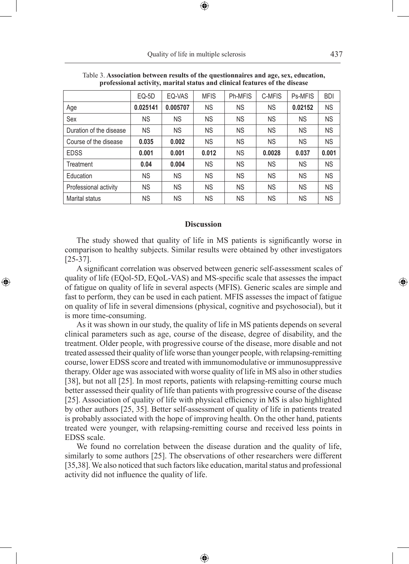Quality of life in multiple sclerosis 437

| рготезяющи асситту, платкиг запад ана спитан театигез от аксивос |           |           |             |                |           |           |            |  |
|------------------------------------------------------------------|-----------|-----------|-------------|----------------|-----------|-----------|------------|--|
|                                                                  | $EQ-5D$   | EQ-VAS    | <b>MFIS</b> | <b>Ph-MFIS</b> | C-MFIS    | Ps-MFIS   | <b>BDI</b> |  |
| Age                                                              | 0.025141  | 0.005707  | <b>NS</b>   | <b>NS</b>      | <b>NS</b> | 0.02152   | <b>NS</b>  |  |
| Sex                                                              | <b>NS</b> | <b>NS</b> | <b>NS</b>   | <b>NS</b>      | <b>NS</b> | <b>NS</b> | <b>NS</b>  |  |
| Duration of the disease                                          | <b>NS</b> | <b>NS</b> | <b>NS</b>   | <b>NS</b>      | <b>NS</b> | <b>NS</b> | <b>NS</b>  |  |
| Course of the disease                                            | 0.035     | 0.002     | <b>NS</b>   | <b>NS</b>      | <b>NS</b> | <b>NS</b> | <b>NS</b>  |  |
| <b>EDSS</b>                                                      | 0.001     | 0.001     | 0.012       | <b>NS</b>      | 0.0028    | 0.037     | 0.001      |  |
| Treatment                                                        | 0.04      | 0.004     | <b>NS</b>   | <b>NS</b>      | <b>NS</b> | <b>NS</b> | <b>NS</b>  |  |
| Education                                                        | <b>NS</b> | <b>NS</b> | <b>NS</b>   | <b>NS</b>      | <b>NS</b> | <b>NS</b> | <b>NS</b>  |  |
| Professional activity                                            | <b>NS</b> | <b>NS</b> | <b>NS</b>   | <b>NS</b>      | <b>NS</b> | <b>NS</b> | <b>NS</b>  |  |
| Marital status                                                   | <b>NS</b> | <b>NS</b> | <b>NS</b>   | ΝS             | <b>NS</b> | <b>NS</b> | <b>NS</b>  |  |

Table 3. **Association between results of the questionnaires and age, sex, education, professional activity, marital status and clinical features of the disease**

⊕

#### **Discussion**

The study showed that quality of life in MS patients is significantly worse in comparison to healthy subjects. Similar results were obtained by other investigators [25-37].

A significant correlation was observed between generic self-assessment scales of quality of life (EQol-5D, EQoL-VAS) and MS-specific scale that assesses the impact of fatigue on quality of life in several aspects (MFIS). Generic scales are simple and fast to perform, they can be used in each patient. MFIS assesses the impact of fatigue on quality of life in several dimensions (physical, cognitive and psychosocial), but it is more time-consuming.

 $\bigoplus$ 

As it was shown in our study, the quality of life in MS patients depends on several clinical parameters such as age, course of the disease, degree of disability, and the treatment. Older people, with progressive course of the disease, more disable and not treated assessed their quality of life worse than younger people, with relapsing-remitting course, lower EDSS score and treated with immunomodulative or immunosuppressive therapy. Older age was associated with worse quality of life in MS also in other studies [38], but not all [25]. In most reports, patients with relapsing-remitting course much better assessed their quality of life than patients with progressive course of the disease [25]. Association of quality of life with physical efficiency in MS is also highlighted by other authors [25, 35]. Better self-assessment of quality of life in patients treated is probably associated with the hope of improving health. On the other hand, patients treated were younger, with relapsing-remitting course and received less points in EDSS scale.

We found no correlation between the disease duration and the quality of life, similarly to some authors [25]. The observations of other researchers were different [35,38]. We also noticed that such factors like education, marital status and professional activity did not influence the quality of life.

♠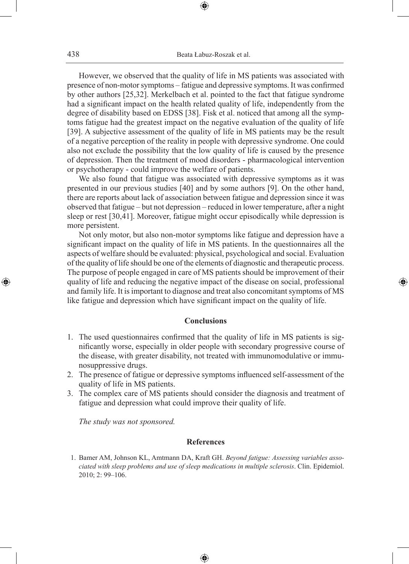⊕

However, we observed that the quality of life in MS patients was associated with presence of non-motor symptoms – fatigue and depressive symptoms. It was confirmed by other authors [25,32]. Merkelbach et al. pointed to the fact that fatigue syndrome had a significant impact on the health related quality of life, independently from the degree of disability based on EDSS [38]. Fisk et al. noticed that among all the symptoms fatigue had the greatest impact on the negative evaluation of the quality of life [39]. A subjective assessment of the quality of life in MS patients may be the result of a negative perception of the reality in people with depressive syndrome. One could also not exclude the possibility that the low quality of life is caused by the presence of depression. Then the treatment of mood disorders - pharmacological intervention or psychotherapy - could improve the welfare of patients.

We also found that fatigue was associated with depressive symptoms as it was presented in our previous studies [40] and by some authors [9]. On the other hand, there are reports about lack of association between fatigue and depression since it was observed that fatigue – but not depression – reduced in lower temperature, after a night sleep or rest [30,41]. Moreover, fatigue might occur episodically while depression is more persistent.

Not only motor, but also non-motor symptoms like fatigue and depression have a significant impact on the quality of life in MS patients. In the questionnaires all the aspects of welfare should be evaluated: physical, psychological and social. Evaluation of the quality of life should be one of the elements of diagnostic and therapeutic process. The purpose of people engaged in care of MS patients should be improvement of their quality of life and reducing the negative impact of the disease on social, professional and family life. It is important to diagnose and treat also concomitant symptoms of MS like fatigue and depression which have significant impact on the quality of life.

◈

### **Conclusions**

- 1. The used questionnaires confirmed that the quality of life in MS patients is significantly worse, especially in older people with secondary progressive course of the disease, with greater disability, not treated with immunomodulative or immunosuppressive drugs.
- 2. The presence of fatigue or depressive symptoms influenced self-assessment of the quality of life in MS patients.
- 3. The complex care of MS patients should consider the diagnosis and treatment of fatigue and depression what could improve their quality of life.

*The study was not sponsored.*

### **References**

 1. Bamer AM, Johnson KL, Amtmann DA, Kraft GH. *Beyond fatigue: Assessing variables associated with sleep problems and use of sleep medications in multiple sclerosis*. Clin. Epidemiol. 2010; 2: 99–106.

⊕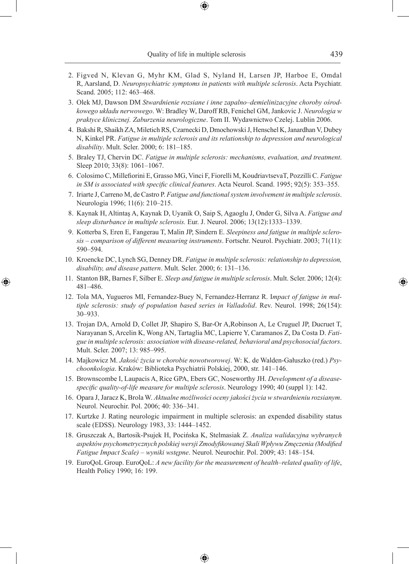- 2. Figved N, Klevan G, Myhr KM, Glad S, Nyland H, Larsen JP, Harboe E, Omdal R, Aarsland, D. *Neuropsychiatric symptoms in patients with multiple sclerosis*. Acta Psychiatr. Scand. 2005; 112: 463–468.
- 3. Olek MJ, Dawson DM *Stwardnienie rozsiane i inne zapalno–demielinizacyjne choroby ośrodkowego układu nerwowego*. W: Bradley W, Daroff RB, Fenichel GM, Jankovic J. *Neurologia w praktyce klinicznej. Zaburzenia neurologiczne*. Tom II. Wydawnictwo Czelej. Lublin 2006.
- 4. Bakshi R, Shaikh ZA, Miletich RS, Czarnecki D, Dmochowski J, Henschel K, Janardhan V, Dubey N, Kinkel PR. *Fatigue in multiple sclerosis and its relationship to depression and neurological disability*. Mult. Scler. 2000; 6: 181–185.
- 5. Braley TJ, Chervin DC. *Fatigue in multiple sclerosis: mechanisms, evaluation, and treatment*. Sleep 2010; 33(8): 1061-1067.
- 6. Colosimo C, Millefiorini E, Grasso MG, Vinci F, Fiorelli M, KoudriavtsevaT, Pozzilli C. *Fatigue in SM is associated with specific clinical features*. Acta Neurol. Scand. 1995; 92(5): 353–355.
- 7. Iriarte J, Carreno M, de Castro P. *Fatigue and functional system involvement in multiple sclerosis*. Neurologia 1996; 11(6): 210–215.
- 8. Kaynak H, Altintaş A, Kaynak D, Uyanik O, Saip S, Agaoglu J, Onder G, Silva A. *Fatigue and sleep disturbance in multiple sclerosis.* Eur. J. Neurol. 2006; 13(12):1333–1339.
- 9. Kotterba S, Eren E, Fangerau T, Malin JP, Sindern E. *Sleepiness and fatigue in multiple sclerosis – comparison of different measuring instruments*. Fortschr. Neurol. Psychiatr. 2003; 71(11): 590–594.
- 10. Kroencke DC, Lynch SG, Denney DR. *Fatigue in multiple sclerosis: relationship to depression, disability, and disease pattern*. Mult. Scler. 2000; 6: 131–136.
- 11. Stanton BR, Barnes F, Silber E. *Sleep and fatigue in multiple sclerosis*. Mult. Scler. 2006; 12(4): 481–486.

◈

- 12. Tola MA, Yugueros MI, Fernandez-Buey N, Fernandez-Herranz R. I*mpact of fatigue in multiple sclerosis: study of population based series in Valladolid*. Rev. Neurol. 1998; 26(154): 30–933.
- 13. Trojan DA, Arnold D, Collet JP, Shapiro S, Bar-Or A,Robinson A, Le Cruguel JP, Ducruet T, Narayanan S, Arcelin K, Wong AN, Tartaglia MC, Lapierre Y, Caramanos Z, Da Costa D. *Fatigue in multiple sclerosis: association with disease-related, behavioral and psychosocial factors*. Mult. Scler. 2007; 13: 985–995.
- 14. Majkowicz M. *Jakość życia w chorobie nowotworowej*. W: K. de Walden-Gałuszko (red.) *Psychoonkologia*. Kraków: Biblioteka Psychiatrii Polskiej, 2000, str. 141–146.
- 15. Brownscombe I, Laupacis A, Rice GPA, Ebers GC, Noseworthy JH. *Development of a diseasespecific quality-of-life measure for multiple sclerosis*. Neurology 1990; 40 (suppl 1): 142.
- 16. Opara J, Jaracz K, Brola W. *Aktualne możliwości oceny jakości życia w stwardnieniu rozsianym*. Neurol. Neurochir. Pol. 2006; 40: 336–341.
- 17. Kurtzke J. Rating neurologic impairment in multiple sclerosis: an expended disability status scale (EDSS). Neurology 1983, 33: 1444–1452.
- 18. Gruszczak A, Bartosik-Psujek H, Pocińska K, Stelmasiak Z. *Analiza walidacyjna wybranych aspektów psychometrycznych polskiej wersji Zmodyfikowanej Skali Wpływu Zmęczenia (Modified Fatigue Impact Scale) – wyniki wstępne*. Neurol. Neurochir. Pol. 2009; 43: 148–154.
- 19. EuroQoL Group. EuroQoL: *A new facility for the measurement of health–related quality of life*, Health Policy 1990; 16: 199.

⊕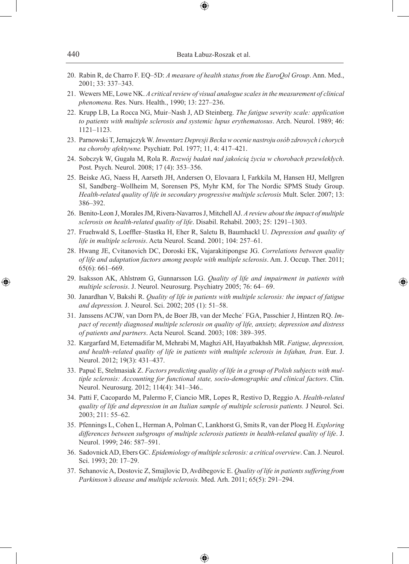20. Rabin R, de Charro F. EQ–5D: *A measure of health status from the EuroQol Group*. Ann. Med., 2001; 33: 337–343.

⊕

- 21. Wewers ME, Lowe NK. *A critical review of visual analogue scales in the measurement of clinical phenomena*. Res. Nurs. Health., 1990; 13: 227–236.
- 22. Krupp LB, La Rocca NG, Muir–Nash J, AD Steinberg. *The fatigue severity scale: application to patients with multiple sclerosis and systemic lupus erythematosus*. Arch. Neurol. 1989; 46: 1121–1123.
- 23. Parnowski T, Jernajczyk W. *Inwentarz Depresji Becka w ocenie nastroju osób zdrowych i chorych na choroby afektywne.* Psychiatr. Pol. 1977; 11, 4: 417–421.
- 24. Sobczyk W, Gugała M, Rola R. *Rozwój badań nad jakością życia w chorobach przewlekłych*. Post. Psych. Neurol. 2008; 17 (4): 353–356.
- 25. Beiske AG, Naess H, Aarseth JH, Andersen O, Elovaara I, Farkkila M, Hansen HJ, Mellgren SI, Sandberg–Wollheim M, Sorensen PS, Myhr KM, for The Nordic SPMS Study Group. *Health-related quality of life in secondary progressive multiple sclerosis* Mult. Scler. 2007; 13: 386–392.
- 26. Benito-Leon J, Morales JM, Rivera-Navarros J, Mitchell AJ. *A review about the impact of multiple sclerosis on health-related quality of life*. Disabil. Rehabil. 2003; 25: 1291–1303.
- 27. Fruehwald S, Loeffler–Stastka H, Eher R, Saletu B, Baumhackl U. *Depression and quality of life in multiple sclerosis*. Acta Neurol. Scand. 2001; 104: 257–61.
- 28. Hwang JE, Cvitanovich DC, Doroski EK, Vajarakitipongse JG. *Correlations between quality of life and adaptation factors among people with multiple sclerosis*. Am. J. Occup. Ther. 2011; 65(6): 661–669.
- 29. Isaksson AK, Ahlstrøm G, Gunnarsson LG. *Quality of life and impairment in patients with multiple sclerosis*. J. Neurol. Neurosurg. Psychiatry 2005; 76: 64– 69.

◈

- 30. Janardhan V, Bakshi R. *Quality of life in patients with multiple sclerosis: the impact of fatigue and depression.* J. Neurol. Sci. 2002; 205 (1): 51–58.
- 31. Janssens ACJW, van Dorn PA, de Boer JB, van der Meche´ FGA, Passchier J, Hintzen RQ. *Impact of recently diagnosed multiple sclerosis on quality of life, anxiety, depression and distress of patients and partners*. Acta Neurol. Scand. 2003; 108: 389–395.
- 32. Kargarfard M, Eetemadifar M, Mehrabi M, Maghzi AH, Hayatbakhsh MR. *Fatigue, depression, and health–related quality of life in patients with multiple sclerosis in Isfahan, Iran*. Eur. J. Neurol. 2012; 19(3): 431–437.
- 33. Papuć E, Stelmasiak Z. *Factors predicting quality of life in a group of Polish subjects with multiple sclerosis: Accounting for functional state, socio-demographic and clinical factors*. Clin. Neurol. Neurosurg. 2012; 114(4): 341–346..
- 34. Patti F, Cacopardo M, Palermo F, Ciancio MR, Lopes R, Restivo D, Reggio A. *Health-related quality of life and depression in an Italian sample of multiple sclerosis patients.* J Neurol. Sci. 2003; 211: 55–62.
- 35. Pfennings L, Cohen L, Herman A, Polman C, Lankhorst G, Smits R, van der Ploeg H. *Exploring differences between subgroups of multiple sclerosis patients in health-related quality of life*. J. Neurol. 1999; 246: 587–591.
- 36. Sadovnick AD, Ebers GC. *Epidemiology of multiple sclerosis: a critical overview*. Can. J. Neurol. Sci. 1993; 20: 17–29.
- 37. Sehanovic A, Dostovic Z, Smajlovic D, Avdibegovic E. *Quality of life in patients suffering from Parkinson's disease and multiple sclerosis.* Med. Arh. 2011; 65(5): 291–294.

⊕